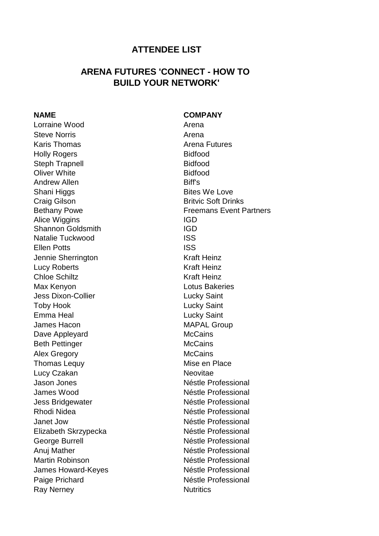## **ATTENDEE LIST**

## **ARENA FUTURES 'CONNECT - HOW TO BUILD YOUR NETWORK'**

Lorraine Wood **Arena** Steve Norris **Arena** Karis Thomas **Arena Futures** Arena Futures Holly Rogers **Bidfood** Steph Trapnell Bidfood Oliver White **Bidfood** Andrew Allen **Biff's** Shani Higgs Bites We Love **Craig Gilson** Britvic Soft Drinks Alice Wiggins **IGD** Shannon Goldsmith **IGD** Natalie Tuckwood ISS Ellen Potts ISS Jennie Sherrington Kraft Heinz Lucy Roberts **Kraft Heinz** Chloe Schiltz **Kraft Heinz** Max Kenyon **Max Kenyon** Lotus Bakeries Jess Dixon-Collier **Lucky** Saint Toby Hook **Lucky** Saint Emma Heal **Emma Heal** James Hacon **MAPAL Group** Dave Appleyard McCains Beth Pettinger McCains Alex Gregory **McCains** Thomas Lequy **Mise en Place** Lucy Czakan Neovitae Jason Jones Néstle Professional James Wood **Néstle Professional** Jess Bridgewater **Néstle Professional** Rhodi Nidea **Néstle Professional** Janet Jow **Néstle Professional** Elizabeth Skrzypecka Néstle Professional George Burrell **Néstle Professional** Anuj Mather Néstle Professional Martin Robinson **Néstle Professional** James Howard-Keyes Nesslee Professional Paige Prichard **Néstle Professional** Ray Nerney Nutritics

**NAME COMPANY**

Bethany Powe **Freemans Event Partners**